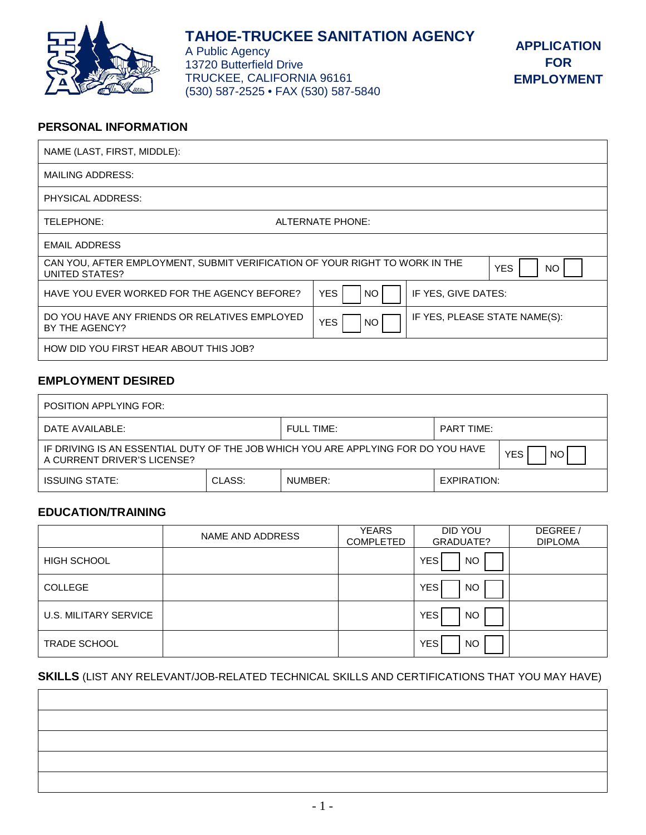

# **TAHOE-TRUCKEE SANITATION AGENCY**

A Public Agency 13720 Butterfield Drive TRUCKEE, CALIFORNIA 96161 (530) 587-2525 • FAX (530) 587-5840

## **PERSONAL INFORMATION**

| NAME (LAST, FIRST, MIDDLE):                                                                   |                   |                               |                  |
|-----------------------------------------------------------------------------------------------|-------------------|-------------------------------|------------------|
| MAILING ADDRESS:                                                                              |                   |                               |                  |
| PHYSICAL ADDRESS:                                                                             |                   |                               |                  |
| TELEPHONE:                                                                                    | ALTERNATE PHONE:  |                               |                  |
| <b>EMAIL ADDRESS</b>                                                                          |                   |                               |                  |
| CAN YOU, AFTER EMPLOYMENT, SUBMIT VERIFICATION OF YOUR RIGHT TO WORK IN THE<br>UNITED STATES? |                   |                               | <b>YES</b><br>NO |
| HAVE YOU EVER WORKED FOR THE AGENCY BEFORE?                                                   | <b>YES</b><br>NO. | IF YES, GIVE DATES:           |                  |
| DO YOU HAVE ANY FRIENDS OR RELATIVES EMPLOYED<br>BY THE AGENCY?                               | <b>YES</b><br>NO  | IF YES, PLEASE STATE NAME(S): |                  |
| HOW DID YOU FIRST HEAR ABOUT THIS JOB?                                                        |                   |                               |                  |

# **EMPLOYMENT DESIRED**

| POSITION APPLYING FOR:                                                                                                               |        |         |             |  |  |  |
|--------------------------------------------------------------------------------------------------------------------------------------|--------|---------|-------------|--|--|--|
| $FUII$ TIME:<br>DATE AVAILABLE:<br><b>PART TIME:</b>                                                                                 |        |         |             |  |  |  |
| IF DRIVING IS AN ESSENTIAL DUTY OF THE JOB WHICH YOU ARE APPLYING FOR DO YOU HAVE<br><b>YES</b><br>NO<br>A CURRENT DRIVER'S LICENSE? |        |         |             |  |  |  |
| <b>ISSUING STATE:</b>                                                                                                                | CLASS: | NUMBER: | EXPIRATION: |  |  |  |

# **EDUCATION/TRAINING**

|                       | NAME AND ADDRESS | <b>YEARS</b><br><b>COMPLETED</b> | DID YOU<br>GRADUATE? | DEGREE /<br><b>DIPLOMA</b> |
|-----------------------|------------------|----------------------------------|----------------------|----------------------------|
| <b>HIGH SCHOOL</b>    |                  |                                  | <b>YES</b><br>NO.    |                            |
| <b>COLLEGE</b>        |                  |                                  | <b>YES</b><br>NO.    |                            |
| U.S. MILITARY SERVICE |                  |                                  | <b>YES</b><br>NO.    |                            |
| <b>TRADE SCHOOL</b>   |                  |                                  | <b>YES</b><br>NO.    |                            |

# **SKILLS** (LIST ANY RELEVANT/JOB-RELATED TECHNICAL SKILLS AND CERTIFICATIONS THAT YOU MAY HAVE)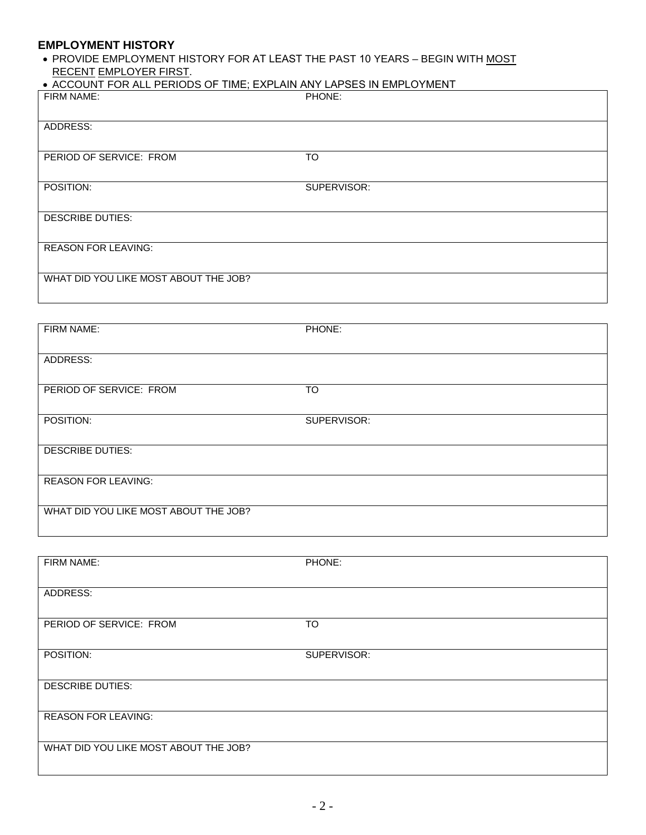#### **EMPLOYMENT HISTORY**

• PROVIDE EMPLOYMENT HISTORY FOR AT LEAST THE PAST 10 YEARS – BEGIN WITH MOST RECENT EMPLOYER FIRST.

| • ACCOUNT FOR ALL PERIODS OF TIME; EXPLAIN ANY LAPSES IN EMPLOYMENT |
|---------------------------------------------------------------------|
|---------------------------------------------------------------------|

| FIRM NAME:                            | PHONE:      |
|---------------------------------------|-------------|
| ADDRESS:                              |             |
| PERIOD OF SERVICE: FROM               | <b>TO</b>   |
| POSITION:                             | SUPERVISOR: |
| <b>DESCRIBE DUTIES:</b>               |             |
| <b>REASON FOR LEAVING:</b>            |             |
| WHAT DID YOU LIKE MOST ABOUT THE JOB? |             |

| FIRM NAME:                            | PHONE:      |
|---------------------------------------|-------------|
| ADDRESS:                              |             |
| PERIOD OF SERVICE: FROM               | <b>TO</b>   |
| POSITION:                             | SUPERVISOR: |
| <b>DESCRIBE DUTIES:</b>               |             |
| <b>REASON FOR LEAVING:</b>            |             |
| WHAT DID YOU LIKE MOST ABOUT THE JOB? |             |
|                                       |             |

| FIRM NAME:                            | PHONE:      |
|---------------------------------------|-------------|
| ADDRESS:                              |             |
|                                       |             |
| PERIOD OF SERVICE: FROM               | <b>TO</b>   |
| POSITION:                             | SUPERVISOR: |
| <b>DESCRIBE DUTIES:</b>               |             |
|                                       |             |
| <b>REASON FOR LEAVING:</b>            |             |
|                                       |             |
| WHAT DID YOU LIKE MOST ABOUT THE JOB? |             |
|                                       |             |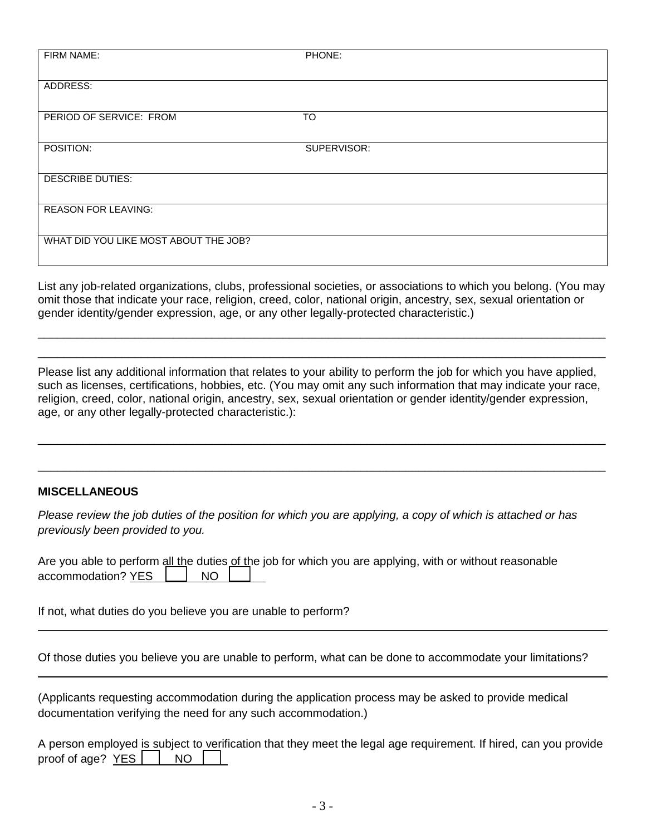| FIRM NAME:                            | PHONE:      |
|---------------------------------------|-------------|
|                                       |             |
| ADDRESS:                              |             |
|                                       |             |
| PERIOD OF SERVICE: FROM               | <b>TO</b>   |
|                                       |             |
| POSITION:                             | SUPERVISOR: |
|                                       |             |
| <b>DESCRIBE DUTIES:</b>               |             |
|                                       |             |
| <b>REASON FOR LEAVING:</b>            |             |
|                                       |             |
| WHAT DID YOU LIKE MOST ABOUT THE JOB? |             |
|                                       |             |

List any job-related organizations, clubs, professional societies, or associations to which you belong. (You may omit those that indicate your race, religion, creed, color, national origin, ancestry, sex, sexual orientation or gender identity/gender expression, age, or any other legally-protected characteristic.)

\_\_\_\_\_\_\_\_\_\_\_\_\_\_\_\_\_\_\_\_\_\_\_\_\_\_\_\_\_\_\_\_\_\_\_\_\_\_\_\_\_\_\_\_\_\_\_\_\_\_\_\_\_\_\_\_\_\_\_\_\_\_\_\_\_\_\_\_\_\_\_\_\_\_\_\_\_\_\_\_\_\_\_\_\_\_\_\_ \_\_\_\_\_\_\_\_\_\_\_\_\_\_\_\_\_\_\_\_\_\_\_\_\_\_\_\_\_\_\_\_\_\_\_\_\_\_\_\_\_\_\_\_\_\_\_\_\_\_\_\_\_\_\_\_\_\_\_\_\_\_\_\_\_\_\_\_\_\_\_\_\_\_\_\_\_\_\_\_\_\_\_\_\_\_\_\_

Please list any additional information that relates to your ability to perform the job for which you have applied, such as licenses, certifications, hobbies, etc. (You may omit any such information that may indicate your race, religion, creed, color, national origin, ancestry, sex, sexual orientation or gender identity/gender expression, age, or any other legally-protected characteristic.):

\_\_\_\_\_\_\_\_\_\_\_\_\_\_\_\_\_\_\_\_\_\_\_\_\_\_\_\_\_\_\_\_\_\_\_\_\_\_\_\_\_\_\_\_\_\_\_\_\_\_\_\_\_\_\_\_\_\_\_\_\_\_\_\_\_\_\_\_\_\_\_\_\_\_\_\_\_\_\_\_\_\_\_\_\_\_\_\_

\_\_\_\_\_\_\_\_\_\_\_\_\_\_\_\_\_\_\_\_\_\_\_\_\_\_\_\_\_\_\_\_\_\_\_\_\_\_\_\_\_\_\_\_\_\_\_\_\_\_\_\_\_\_\_\_\_\_\_\_\_\_\_\_\_\_\_\_\_\_\_\_\_\_\_\_\_\_\_\_\_\_\_\_\_\_\_\_

# **MISCELLANEOUS**

*Please review the job duties of the position for which you are applying, a copy of which is attached or has previously been provided to you.*

| Are you able to perform all the duties of the job for which you are applying, with or without reasonable |  |  |  |  |  |
|----------------------------------------------------------------------------------------------------------|--|--|--|--|--|
| accommodation? YES   NO                                                                                  |  |  |  |  |  |

If not, what duties do you believe you are unable to perform?

Of those duties you believe you are unable to perform, what can be done to accommodate your limitations?

(Applicants requesting accommodation during the application process may be asked to provide medical documentation verifying the need for any such accommodation.)

A person employed is subject to verification that they meet the legal age requirement. If hired, can you provide proof of age?  $YES$  | NO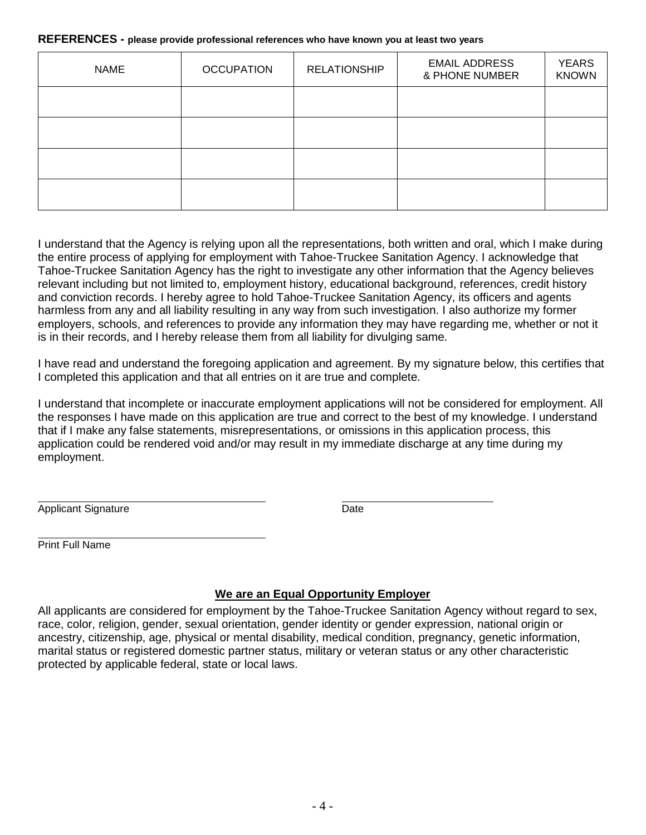#### **REFERENCES - please provide professional references who have known you at least two years**

| <b>NAME</b> | <b>OCCUPATION</b> | <b>RELATIONSHIP</b> | <b>EMAIL ADDRESS</b><br>& PHONE NUMBER | <b>YEARS</b><br><b>KNOWN</b> |
|-------------|-------------------|---------------------|----------------------------------------|------------------------------|
|             |                   |                     |                                        |                              |
|             |                   |                     |                                        |                              |
|             |                   |                     |                                        |                              |
|             |                   |                     |                                        |                              |

I understand that the Agency is relying upon all the representations, both written and oral, which I make during the entire process of applying for employment with Tahoe-Truckee Sanitation Agency. I acknowledge that Tahoe-Truckee Sanitation Agency has the right to investigate any other information that the Agency believes relevant including but not limited to, employment history, educational background, references, credit history and conviction records. I hereby agree to hold Tahoe-Truckee Sanitation Agency, its officers and agents harmless from any and all liability resulting in any way from such investigation. I also authorize my former employers, schools, and references to provide any information they may have regarding me, whether or not it is in their records, and I hereby release them from all liability for divulging same.

I have read and understand the foregoing application and agreement. By my signature below, this certifies that I completed this application and that all entries on it are true and complete.

I understand that incomplete or inaccurate employment applications will not be considered for employment. All the responses I have made on this application are true and correct to the best of my knowledge. I understand that if I make any false statements, misrepresentations, or omissions in this application process, this application could be rendered void and/or may result in my immediate discharge at any time during my employment.

Applicant Signature **Date** 

Print Full Name

# **We are an Equal Opportunity Employer**

All applicants are considered for employment by the Tahoe-Truckee Sanitation Agency without regard to sex, race, color, religion, gender, sexual orientation, gender identity or gender expression, national origin or ancestry, citizenship, age, physical or mental disability, medical condition, pregnancy, genetic information, marital status or registered domestic partner status, military or veteran status or any other characteristic protected by applicable federal, state or local laws.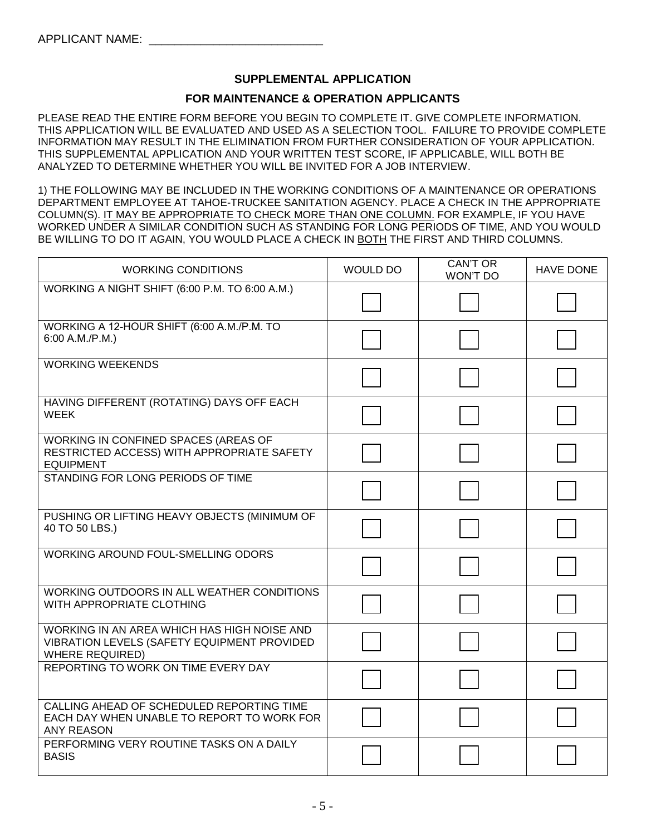# **SUPPLEMENTAL APPLICATION**

#### **FOR MAINTENANCE & OPERATION APPLICANTS**

PLEASE READ THE ENTIRE FORM BEFORE YOU BEGIN TO COMPLETE IT. GIVE COMPLETE INFORMATION. THIS APPLICATION WILL BE EVALUATED AND USED AS A SELECTION TOOL. FAILURE TO PROVIDE COMPLETE INFORMATION MAY RESULT IN THE ELIMINATION FROM FURTHER CONSIDERATION OF YOUR APPLICATION. THIS SUPPLEMENTAL APPLICATION AND YOUR WRITTEN TEST SCORE, IF APPLICABLE, WILL BOTH BE ANALYZED TO DETERMINE WHETHER YOU WILL BE INVITED FOR A JOB INTERVIEW.

1) THE FOLLOWING MAY BE INCLUDED IN THE WORKING CONDITIONS OF A MAINTENANCE OR OPERATIONS DEPARTMENT EMPLOYEE AT TAHOE-TRUCKEE SANITATION AGENCY. PLACE A CHECK IN THE APPROPRIATE COLUMN(S). IT MAY BE APPROPRIATE TO CHECK MORE THAN ONE COLUMN. FOR EXAMPLE, IF YOU HAVE WORKED UNDER A SIMILAR CONDITION SUCH AS STANDING FOR LONG PERIODS OF TIME, AND YOU WOULD BE WILLING TO DO IT AGAIN, YOU WOULD PLACE A CHECK IN BOTH THE FIRST AND THIRD COLUMNS.

| <b>WORKING CONDITIONS</b>                                                                                            | <b>WOULD DO</b> | <b>CAN'T OR</b><br>WON'T DO | <b>HAVE DONE</b> |
|----------------------------------------------------------------------------------------------------------------------|-----------------|-----------------------------|------------------|
| WORKING A NIGHT SHIFT (6:00 P.M. TO 6:00 A.M.)                                                                       |                 |                             |                  |
| WORKING A 12-HOUR SHIFT (6:00 A.M./P.M. TO<br>6:00 A.M./P.M.)                                                        |                 |                             |                  |
| <b>WORKING WEEKENDS</b>                                                                                              |                 |                             |                  |
| HAVING DIFFERENT (ROTATING) DAYS OFF EACH<br><b>WEEK</b>                                                             |                 |                             |                  |
| WORKING IN CONFINED SPACES (AREAS OF<br>RESTRICTED ACCESS) WITH APPROPRIATE SAFETY<br><b>EQUIPMENT</b>               |                 |                             |                  |
| STANDING FOR LONG PERIODS OF TIME                                                                                    |                 |                             |                  |
| PUSHING OR LIFTING HEAVY OBJECTS (MINIMUM OF<br>40 TO 50 LBS.)                                                       |                 |                             |                  |
| <b>WORKING AROUND FOUL-SMELLING ODORS</b>                                                                            |                 |                             |                  |
| WORKING OUTDOORS IN ALL WEATHER CONDITIONS<br>WITH APPROPRIATE CLOTHING                                              |                 |                             |                  |
| WORKING IN AN AREA WHICH HAS HIGH NOISE AND<br>VIBRATION LEVELS (SAFETY EQUIPMENT PROVIDED<br><b>WHERE REQUIRED)</b> |                 |                             |                  |
| REPORTING TO WORK ON TIME EVERY DAY                                                                                  |                 |                             |                  |
| CALLING AHEAD OF SCHEDULED REPORTING TIME<br>EACH DAY WHEN UNABLE TO REPORT TO WORK FOR<br><b>ANY REASON</b>         |                 |                             |                  |
| PERFORMING VERY ROUTINE TASKS ON A DAILY<br><b>BASIS</b>                                                             |                 |                             |                  |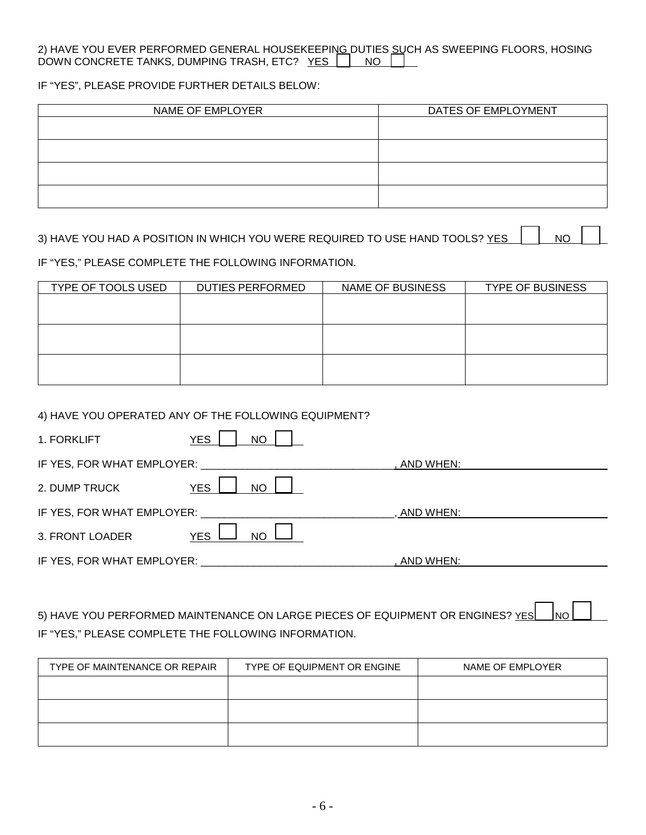#### 2) HAVE YOU EVER PERFORMED GENERAL HOUSEKEEPIN<u>G </u>DUTIES <u>SU</u>CH AS SWEEPING FLOORS, HOSING DOWN CONCRETE TANKS, DUMPING TRASH, ETC? YES NONDOW

IF "YES", PLEASE PROVIDE FURTHER DETAILS BELOW:

| NAME OF EMPLOYER | DATES OF EMPLOYMENT |
|------------------|---------------------|
|                  |                     |
|                  |                     |
|                  |                     |
|                  |                     |

# 3) HAVE YOU HAD A POSITION IN WHICH YOU WERE REQUIRED TO USE HAND TOOLS? YES  $\Box$  NO

IF "YES," PLEASE COMPLETE THE FOLLOWING INFORMATION.

| TYPE OF TOOLS USED | <b>DUTIES PERFORMED</b> | NAME OF BUSINESS | <b>TYPE OF BUSINESS</b> |
|--------------------|-------------------------|------------------|-------------------------|
|                    |                         |                  |                         |
|                    |                         |                  |                         |
|                    |                         |                  |                         |
|                    |                         |                  |                         |
|                    |                         |                  |                         |
|                    |                         |                  |                         |

#### 4) HAVE YOU OPERATED ANY OF THE FOLLOWING EQUIPMENT?

| 1. FORKLIFT                | <b>YES</b><br><b>NO</b> |             |  |
|----------------------------|-------------------------|-------------|--|
| IF YES, FOR WHAT EMPLOYER: |                         | AND WHEN:   |  |
| 2. DUMP TRUCK              | <b>YES</b><br><b>NO</b> |             |  |
| IF YES, FOR WHAT EMPLOYER: |                         | , AND WHEN: |  |
| 3. FRONT LOADER            | <b>NO</b><br><b>YES</b> |             |  |
| IF YES, FOR WHAT EMPLOYER: |                         | AND WHEN:   |  |

5) HAVE YOU PERFORMED MAINTENANCE ON LARGE PIECES OF EQUIPMENT OR ENGINES? YES NO IF "YES," PLEASE COMPLETE THE FOLLOWING INFORMATION.

| TYPE OF MAINTENANCE OR REPAIR | TYPE OF EQUIPMENT OR ENGINE | NAME OF EMPLOYER |
|-------------------------------|-----------------------------|------------------|
|                               |                             |                  |
|                               |                             |                  |
|                               |                             |                  |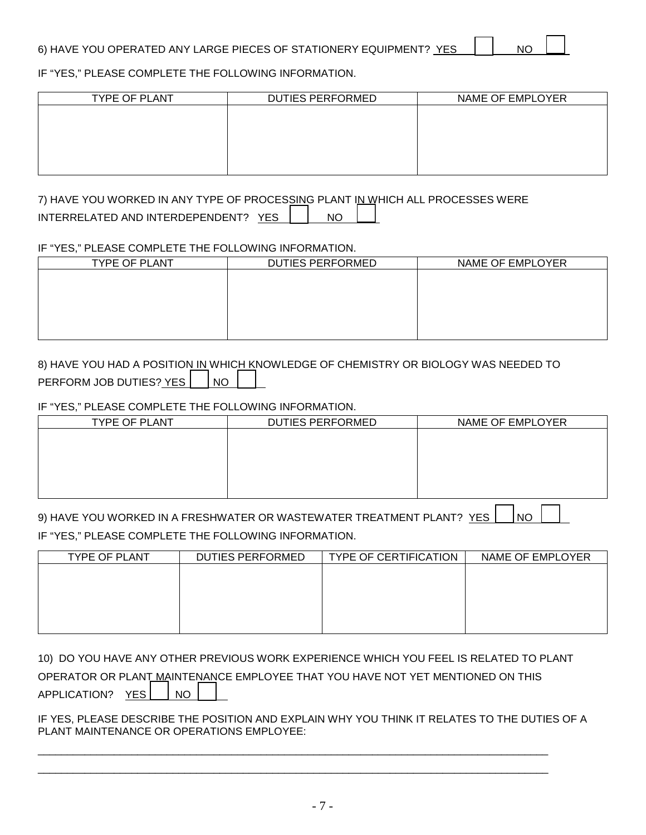IF "YES," PLEASE COMPLETE THE FOLLOWING INFORMATION.

| <b>TYPE OF PLANT</b> | DUTIES PERFORMED | NAME OF EMPLOYER |
|----------------------|------------------|------------------|
|                      |                  |                  |
|                      |                  |                  |
|                      |                  |                  |
|                      |                  |                  |
|                      |                  |                  |

7) HAVE YOU WORKED IN ANY TYPE OF PROCESSING PLANT IN WHICH ALL PROCESSES WERE INTERRELATED AND INTERDEPENDENT? YES | NO

# IF "YES," PLEASE COMPLETE THE FOLLOWING INFORMATION.

| <b>TYPE OF PLANT</b> | <b>DUTIES PERFORMED</b> | NAME OF EMPLOYER |
|----------------------|-------------------------|------------------|
|                      |                         |                  |
|                      |                         |                  |
|                      |                         |                  |
|                      |                         |                  |
|                      |                         |                  |

# 8) HAVE YOU HAD A POSITION IN WHICH KNOWLEDGE OF CHEMISTRY OR BIOLOGY WAS NEEDED TO PERFORM JOB DUTIES? YES | NO

#### IF "YES," PLEASE COMPLETE THE FOLLOWING INFORMATION.

| <b>TYPE OF PLANT</b> | <b>DUTIES PERFORMED</b> | NAME OF EMPLOYER |
|----------------------|-------------------------|------------------|
|                      |                         |                  |
|                      |                         |                  |
|                      |                         |                  |
|                      |                         |                  |
|                      |                         |                  |
|                      |                         |                  |

| 9) HAVE YOU WORKED IN A FRESHWATER OR WASTEWATER TREATMENT PLANT? YES   NO |  |  |  |
|----------------------------------------------------------------------------|--|--|--|
| IF "YES," PLEASE COMPLETE THE FOLLOWING INFORMATION.                       |  |  |  |

| <b>TYPE OF PLANT</b> | <b>DUTIES PERFORMED</b> | <b>TYPE OF CERTIFICATION</b> | NAME OF EMPLOYER |
|----------------------|-------------------------|------------------------------|------------------|
|                      |                         |                              |                  |
|                      |                         |                              |                  |
|                      |                         |                              |                  |
|                      |                         |                              |                  |
|                      |                         |                              |                  |

|                       |  | 10) DO YOU HAVE ANY OTHER PREVIOUS WORK EXPERIENCE WHICH YOU FEEL IS RELATED TO PLANT |
|-----------------------|--|---------------------------------------------------------------------------------------|
|                       |  | OPERATOR OR PLANT MAINTENANCE EMPLOYEE THAT YOU HAVE NOT YET MENTIONED ON THIS        |
| APPLICATION? YES   NO |  |                                                                                       |

#### IF YES, PLEASE DESCRIBE THE POSITION AND EXPLAIN WHY YOU THINK IT RELATES TO THE DUTIES OF A PLANT MAINTENANCE OR OPERATIONS EMPLOYEE:

\_\_\_\_\_\_\_\_\_\_\_\_\_\_\_\_\_\_\_\_\_\_\_\_\_\_\_\_\_\_\_\_\_\_\_\_\_\_\_\_\_\_\_\_\_\_\_\_\_\_\_\_\_\_\_\_\_\_\_\_\_\_\_\_\_\_\_\_\_\_\_\_\_\_\_\_\_\_\_\_\_\_\_\_\_\_\_ \_\_\_\_\_\_\_\_\_\_\_\_\_\_\_\_\_\_\_\_\_\_\_\_\_\_\_\_\_\_\_\_\_\_\_\_\_\_\_\_\_\_\_\_\_\_\_\_\_\_\_\_\_\_\_\_\_\_\_\_\_\_\_\_\_\_\_\_\_\_\_\_\_\_\_\_\_\_\_\_\_\_\_\_\_\_\_